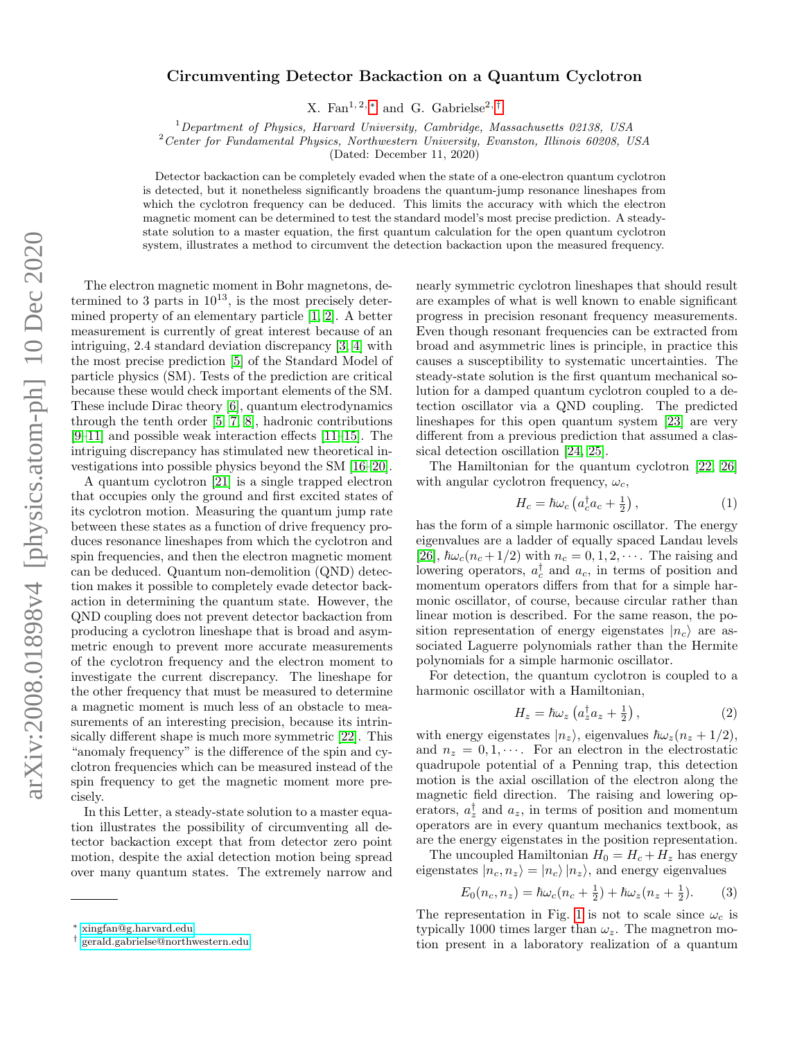## Circumventing Detector Backaction on a Quantum Cyclotron

X. Fan<sup>1, 2, \*</sup> and G. Gabrielse<sup>2, [†](#page-0-1)</sup>

 $1$ Department of Physics, Harvard University, Cambridge, Massachusetts 02138, USA

<sup>2</sup>Center for Fundamental Physics, Northwestern University, Evanston, Illinois 60208, USA

(Dated: December 11, 2020)

Detector backaction can be completely evaded when the state of a one-electron quantum cyclotron is detected, but it nonetheless significantly broadens the quantum-jump resonance lineshapes from which the cyclotron frequency can be deduced. This limits the accuracy with which the electron magnetic moment can be determined to test the standard model's most precise prediction. A steadystate solution to a master equation, the first quantum calculation for the open quantum cyclotron system, illustrates a method to circumvent the detection backaction upon the measured frequency.

The electron magnetic moment in Bohr magnetons, determined to 3 parts in  $10^{13}$ , is the most precisely determined property of an elementary particle [\[1,](#page-4-0) [2\]](#page-4-1). A better measurement is currently of great interest because of an intriguing, 2.4 standard deviation discrepancy [\[3,](#page-4-2) [4\]](#page-4-3) with the most precise prediction [\[5\]](#page-4-4) of the Standard Model of particle physics (SM). Tests of the prediction are critical because these would check important elements of the SM. These include Dirac theory [\[6\]](#page-4-5), quantum electrodynamics through the tenth order  $[5, 7, 8]$  $[5, 7, 8]$  $[5, 7, 8]$ , hadronic contributions [\[9–](#page-4-8)[11\]](#page-4-9) and possible weak interaction effects [\[11–](#page-4-9)[15\]](#page-4-10). The intriguing discrepancy has stimulated new theoretical investigations into possible physics beyond the SM [\[16–](#page-4-11)[20\]](#page-4-12).

A quantum cyclotron [\[21\]](#page-4-13) is a single trapped electron that occupies only the ground and first excited states of its cyclotron motion. Measuring the quantum jump rate between these states as a function of drive frequency produces resonance lineshapes from which the cyclotron and spin frequencies, and then the electron magnetic moment can be deduced. Quantum non-demolition (QND) detection makes it possible to completely evade detector backaction in determining the quantum state. However, the QND coupling does not prevent detector backaction from producing a cyclotron lineshape that is broad and asymmetric enough to prevent more accurate measurements of the cyclotron frequency and the electron moment to investigate the current discrepancy. The lineshape for the other frequency that must be measured to determine a magnetic moment is much less of an obstacle to measurements of an interesting precision, because its intrinsically different shape is much more symmetric [\[22\]](#page-4-14). This "anomaly frequency" is the difference of the spin and cyclotron frequencies which can be measured instead of the spin frequency to get the magnetic moment more precisely.

In this Letter, a steady-state solution to a master equation illustrates the possibility of circumventing all detector backaction except that from detector zero point motion, despite the axial detection motion being spread over many quantum states. The extremely narrow and nearly symmetric cyclotron lineshapes that should result are examples of what is well known to enable significant progress in precision resonant frequency measurements. Even though resonant frequencies can be extracted from broad and asymmetric lines is principle, in practice this causes a susceptibility to systematic uncertainties. The steady-state solution is the first quantum mechanical solution for a damped quantum cyclotron coupled to a detection oscillator via a QND coupling. The predicted lineshapes for this open quantum system [\[23\]](#page-4-15) are very different from a previous prediction that assumed a classical detection oscillation [\[24,](#page-4-16) [25\]](#page-4-17).

The Hamiltonian for the quantum cyclotron [\[22,](#page-4-14) [26\]](#page-4-18) with angular cyclotron frequency,  $\omega_c$ ,

$$
H_c = \hbar\omega_c \left( a_c^{\dagger} a_c + \frac{1}{2} \right),\tag{1}
$$

has the form of a simple harmonic oscillator. The energy eigenvalues are a ladder of equally spaced Landau levels [\[26\]](#page-4-18),  $\hbar\omega_c(n_c+1/2)$  with  $n_c = 0, 1, 2, \cdots$ . The raising and lowering operators,  $a_c^{\dagger}$  and  $a_c$ , in terms of position and momentum operators differs from that for a simple harmonic oscillator, of course, because circular rather than linear motion is described. For the same reason, the position representation of energy eigenstates  $|n_c\rangle$  are associated Laguerre polynomials rather than the Hermite polynomials for a simple harmonic oscillator.

For detection, the quantum cyclotron is coupled to a harmonic oscillator with a Hamiltonian,

$$
H_z = \hbar\omega_z \left( a_z^{\dagger} a_z + \frac{1}{2} \right), \tag{2}
$$

with energy eigenstates  $|n_z\rangle$ , eigenvalues  $\hbar\omega_z(n_z + 1/2)$ , and  $n_z = 0, 1, \cdots$ . For an electron in the electrostatic quadrupole potential of a Penning trap, this detection motion is the axial oscillation of the electron along the magnetic field direction. The raising and lowering operators,  $a_z^{\dagger}$  and  $a_z$ , in terms of position and momentum operators are in every quantum mechanics textbook, as are the energy eigenstates in the position representation.

The uncoupled Hamiltonian  $H_0 = H_c + H_z$  has energy eigenstates  $|n_c, n_z\rangle = |n_c\rangle |n_z\rangle$ , and energy eigenvalues

$$
E_0(n_c, n_z) = \hbar\omega_c(n_c + \frac{1}{2}) + \hbar\omega_z(n_z + \frac{1}{2}).
$$
 (3)

The representation in Fig. [1](#page-1-0) is not to scale since  $\omega_c$  is typically 1000 times larger than  $\omega_z$ . The magnetron motion present in a laboratory realization of a quantum

<span id="page-0-0"></span><sup>∗</sup> [xingfan@g.harvard.edu](mailto:xingfan@g.harvard.edu)

<span id="page-0-1"></span><sup>†</sup> [gerald.gabrielse@northwestern.edu](mailto:gerald.gabrielse@northwestern.edu)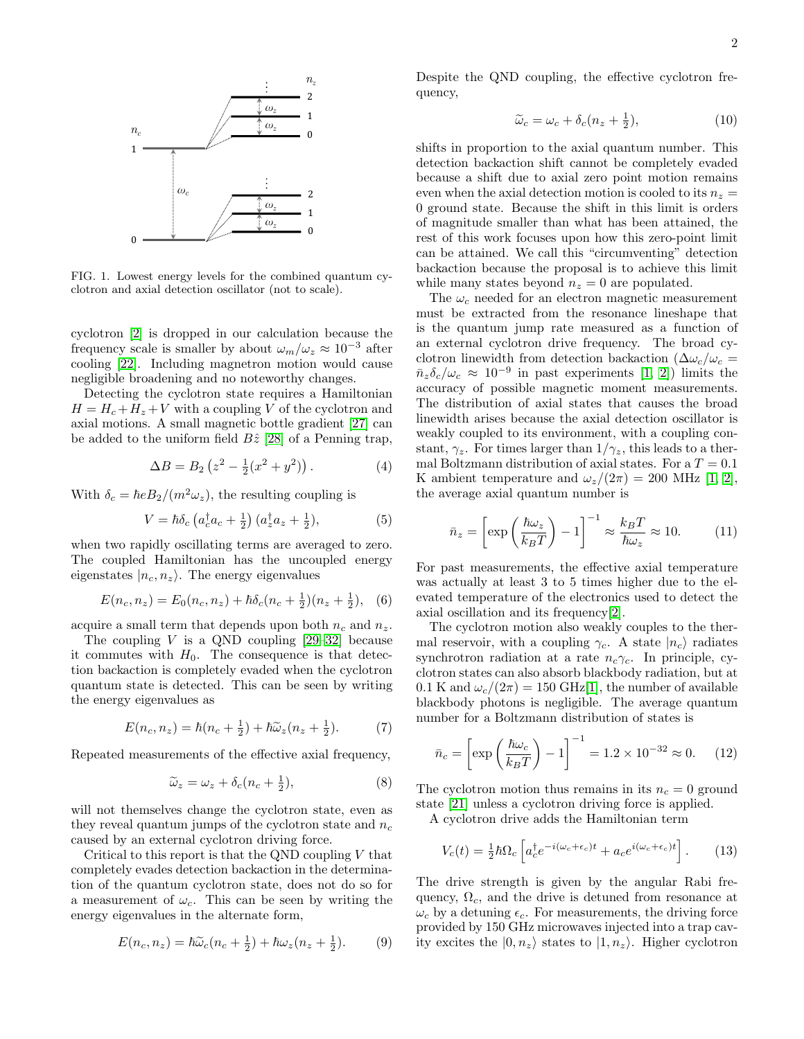

<span id="page-1-0"></span>FIG. 1. Lowest energy levels for the combined quantum cyclotron and axial detection oscillator (not to scale).

cyclotron [\[2\]](#page-4-1) is dropped in our calculation because the frequency scale is smaller by about  $\omega_m/\omega_z \approx 10^{-3}$  after cooling [\[22\]](#page-4-14). Including magnetron motion would cause negligible broadening and no noteworthy changes.

Detecting the cyclotron state requires a Hamiltonian  $H = H_c + H_z + V$  with a coupling V of the cyclotron and axial motions. A small magnetic bottle gradient [\[27\]](#page-4-19) can be added to the uniform field  $B\hat{z}$  [\[28\]](#page-4-20) of a Penning trap,

$$
\Delta B = B_2 \left( z^2 - \frac{1}{2} (x^2 + y^2) \right). \tag{4}
$$

With  $\delta_c = \hbar e B_2/(m^2 \omega_z)$ , the resulting coupling is

<span id="page-1-2"></span>
$$
V = \hbar \delta_c \left( a_c^{\dagger} a_c + \frac{1}{2} \right) \left( a_z^{\dagger} a_z + \frac{1}{2} \right), \tag{5}
$$

when two rapidly oscillating terms are averaged to zero. The coupled Hamiltonian has the uncoupled energy eigenstates  $|n_c, n_z\rangle$ . The energy eigenvalues

$$
E(n_c, n_z) = E_0(n_c, n_z) + \hbar \delta_c(n_c + \frac{1}{2})(n_z + \frac{1}{2}), \quad (6)
$$

acquire a small term that depends upon both  $n_c$  and  $n_z$ .

The coupling  $V$  is a QND coupling  $[29-32]$  $[29-32]$  because it commutes with  $H_0$ . The consequence is that detection backaction is completely evaded when the cyclotron quantum state is detected. This can be seen by writing the energy eigenvalues as

$$
E(n_c, n_z) = \hbar(n_c + \frac{1}{2}) + \hbar\tilde{\omega}_z(n_z + \frac{1}{2}).
$$
 (7)

Repeated measurements of the effective axial frequency,

<span id="page-1-3"></span>
$$
\widetilde{\omega}_z = \omega_z + \delta_c (n_c + \frac{1}{2}),\tag{8}
$$

will not themselves change the cyclotron state, even as they reveal quantum jumps of the cyclotron state and  $n_c$ caused by an external cyclotron driving force.

Critical to this report is that the QND coupling  $V$  that completely evades detection backaction in the determination of the quantum cyclotron state, does not do so for a measurement of  $\omega_c$ . This can be seen by writing the energy eigenvalues in the alternate form,

$$
E(n_c, n_z) = \hbar \tilde{\omega}_c(n_c + \frac{1}{2}) + \hbar \omega_z(n_z + \frac{1}{2}).
$$
 (9)

Despite the QND coupling, the effective cyclotron frequency,

$$
\widetilde{\omega}_c = \omega_c + \delta_c (n_z + \frac{1}{2}),\tag{10}
$$

shifts in proportion to the axial quantum number. This detection backaction shift cannot be completely evaded because a shift due to axial zero point motion remains even when the axial detection motion is cooled to its  $n_z =$ 0 ground state. Because the shift in this limit is orders of magnitude smaller than what has been attained, the rest of this work focuses upon how this zero-point limit can be attained. We call this "circumventing" detection backaction because the proposal is to achieve this limit while many states beyond  $n_z = 0$  are populated.

The  $\omega_c$  needed for an electron magnetic measurement must be extracted from the resonance lineshape that is the quantum jump rate measured as a function of an external cyclotron drive frequency. The broad cyclotron linewidth from detection backaction ( $\Delta \omega_c/\omega_c =$  $\bar{n}_z \delta_c/\omega_c \approx 10^{-9}$  in past experiments [\[1,](#page-4-0) [2\]](#page-4-1)) limits the accuracy of possible magnetic moment measurements. The distribution of axial states that causes the broad linewidth arises because the axial detection oscillator is weakly coupled to its environment, with a coupling constant,  $\gamma_z$ . For times larger than  $1/\gamma_z$ , this leads to a thermal Boltzmann distribution of axial states. For a  $T = 0.1$ K ambient temperature and  $\omega_z/(2\pi) = 200$  MHz [\[1,](#page-4-0) [2\]](#page-4-1), the average axial quantum number is

$$
\bar{n}_z = \left[ \exp\left(\frac{\hbar \omega_z}{k_B T}\right) - 1 \right]^{-1} \approx \frac{k_B T}{\hbar \omega_z} \approx 10. \quad (11)
$$

For past measurements, the effective axial temperature was actually at least 3 to 5 times higher due to the elevated temperature of the electronics used to detect the axial oscillation and its frequency[\[2\]](#page-4-1).

The cyclotron motion also weakly couples to the thermal reservoir, with a coupling  $\gamma_c$ . A state  $|n_c\rangle$  radiates synchrotron radiation at a rate  $n_c \gamma_c$ . In principle, cyclotron states can also absorb blackbody radiation, but at 0.1 K and  $\omega_c/(2\pi) = 150 \text{ GHz} [1]$  $\omega_c/(2\pi) = 150 \text{ GHz} [1]$ , the number of available blackbody photons is negligible. The average quantum number for a Boltzmann distribution of states is

$$
\bar{n}_c = \left[ \exp\left(\frac{\hbar \omega_c}{k_B T}\right) - 1 \right]^{-1} = 1.2 \times 10^{-32} \approx 0. \quad (12)
$$

The cyclotron motion thus remains in its  $n_c = 0$  ground state [\[21\]](#page-4-13) unless a cyclotron driving force is applied.

A cyclotron drive adds the Hamiltonian term

<span id="page-1-1"></span>
$$
V_c(t) = \frac{1}{2}\hbar\Omega_c \left[ a_c^{\dagger} e^{-i(\omega_c + \epsilon_c)t} + a_c e^{i(\omega_c + \epsilon_c)t} \right].
$$
 (13)

The drive strength is given by the angular Rabi frequency,  $\Omega_c$ , and the drive is detuned from resonance at  $\omega_c$  by a detuning  $\epsilon_c$ . For measurements, the driving force provided by 150 GHz microwaves injected into a trap cavity excites the  $|0, n_z\rangle$  states to  $|1, n_z\rangle$ . Higher cyclotron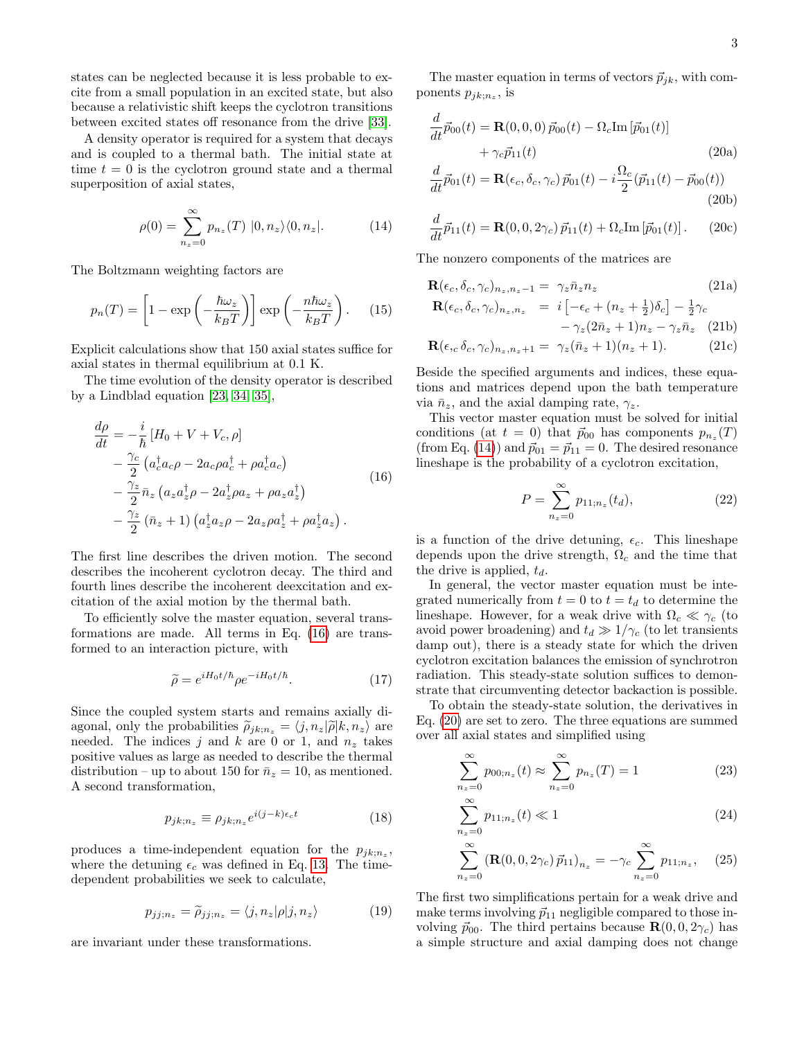states can be neglected because it is less probable to excite from a small population in an excited state, but also because a relativistic shift keeps the cyclotron transitions between excited states off resonance from the drive [\[33\]](#page-4-23).

A density operator is required for a system that decays and is coupled to a thermal bath. The initial state at time  $t = 0$  is the cyclotron ground state and a thermal superposition of axial states,

<span id="page-2-1"></span>
$$
\rho(0) = \sum_{n_z=0}^{\infty} p_{n_z}(T) |0, n_z\rangle\langle0, n_z|.
$$
 (14)

The Boltzmann weighting factors are

$$
p_n(T) = \left[1 - \exp\left(-\frac{\hbar \omega_z}{k_B T}\right)\right] \exp\left(-\frac{n \hbar \omega_z}{k_B T}\right). \quad (15)
$$

Explicit calculations show that 150 axial states suffice for axial states in thermal equilibrium at 0.1 K.

The time evolution of the density operator is described by a Lindblad equation [\[23,](#page-4-15) [34,](#page-4-24) [35\]](#page-4-25),

<span id="page-2-0"></span>
$$
\frac{d\rho}{dt} = -\frac{i}{\hbar} \left[ H_0 + V + V_c, \rho \right] \n- \frac{\gamma_c}{2} \left( a_c^{\dagger} a_c \rho - 2 a_c \rho a_c^{\dagger} + \rho a_c^{\dagger} a_c \right) \n- \frac{\gamma_z}{2} \bar{n}_z \left( a_z a_z^{\dagger} \rho - 2 a_z^{\dagger} \rho a_z + \rho a_z a_z^{\dagger} \right) \n- \frac{\gamma_z}{2} \left( \bar{n}_z + 1 \right) \left( a_z^{\dagger} a_z \rho - 2 a_z \rho a_z^{\dagger} + \rho a_z^{\dagger} a_z \right).
$$
\n(16)

The first line describes the driven motion. The second describes the incoherent cyclotron decay. The third and fourth lines describe the incoherent deexcitation and excitation of the axial motion by the thermal bath.

To efficiently solve the master equation, several transformations are made. All terms in Eq. [\(16\)](#page-2-0) are transformed to an interaction picture, with

$$
\widetilde{\rho} = e^{iH_0t/\hbar} \rho e^{-iH_0t/\hbar}.\tag{17}
$$

Since the coupled system starts and remains axially diagonal, only the probabilities  $\tilde{\rho}_{jk; n_z} = \langle j, n_z|\tilde{\rho}|k, n_z\rangle$  are needed. The indices j and k are 0 or 1, and  $n_z$  takes positive values as large as needed to describe the thermal distribution – up to about 150 for  $\bar{n}_z = 10$ , as mentioned. A second transformation,

$$
p_{jk;n_z} \equiv \rho_{jk;n_z} e^{i(j-k)\epsilon_c t} \tag{18}
$$

produces a time-independent equation for the  $p_{jk;n_z}$ , where the detuning  $\epsilon_c$  was defined in Eq. [13.](#page-1-1) The timedependent probabilities we seek to calculate,

$$
p_{jj;n_z} = \widetilde{\rho}_{jj;n_z} = \langle j, n_z | \rho | j, n_z \rangle \tag{19}
$$

are invariant under these transformations.

The master equation in terms of vectors  $\vec{p}_{jk}$ , with components  $p_{jk;n_z}$ , is

$$
\frac{d}{dt}\vec{p}_{00}(t) = \mathbf{R}(0,0,0)\,\vec{p}_{00}(t) - \Omega_c \text{Im}[\vec{p}_{01}(t)] \n+ \gamma_c \vec{p}_{11}(t)
$$
\n(20a)

$$
\frac{d}{dt}\vec{p}_{01}(t) = \mathbf{R}(\epsilon_c, \delta_c, \gamma_c) \vec{p}_{01}(t) - i \frac{\Omega_c}{2} (\vec{p}_{11}(t) - \vec{p}_{00}(t))
$$
\n(20b)

$$
\frac{d}{dt}\vec{p}_{11}(t) = \mathbf{R}(0,0,2\gamma_c)\,\vec{p}_{11}(t) + \Omega_c \text{Im}[\vec{p}_{01}(t)].\qquad(20c)
$$

The nonzero components of the matrices are

$$
\mathbf{R}(\epsilon_c, \delta_c, \gamma_c)_{n_z, n_z - 1} = \gamma_z \bar{n}_z n_z
$$
\n
$$
\mathbf{R}(\epsilon_c, \delta_c, \gamma_c)_{n_z, n_z} = i \left[ -\epsilon_c + (n_z + \frac{1}{2}) \delta_c \right] - \frac{1}{2} \gamma_c
$$
\n(21a)

<span id="page-2-3"></span><span id="page-2-2"></span>
$$
c_{n_z, n_z} = \iota_1 c_c + (n_z + 2)^{0} c_1 - 2^{0} c_2
$$
  
- 
$$
-\gamma_z (2\bar{n}_z + 1) n_z - \gamma_z \bar{n}_z
$$
 (21b)

$$
\mathbf{R}(\epsilon_{,c}\,\delta_{c},\gamma_{c})_{n_{z},n_{z}+1} = \gamma_{z}(\bar{n}_{z}+1)(n_{z}+1). \tag{21c}
$$

Beside the specified arguments and indices, these equations and matrices depend upon the bath temperature via  $\bar{n}_z$ , and the axial damping rate,  $\gamma_z$ .

This vector master equation must be solved for initial conditions (at  $t = 0$ ) that  $\vec{p}_{00}$  has components  $p_{n_z}(T)$ (from Eq. [\(14\)](#page-2-1)) and  $\vec{p}_{01} = \vec{p}_{11} = 0$ . The desired resonance lineshape is the probability of a cyclotron excitation,

$$
P = \sum_{n_z=0}^{\infty} p_{11; n_z}(t_d),
$$
 (22)

is a function of the drive detuning,  $\epsilon_c$ . This lineshape depends upon the drive strength,  $\Omega_c$  and the time that the drive is applied,  $t_d$ .

In general, the vector master equation must be integrated numerically from  $t = 0$  to  $t = t_d$  to determine the lineshape. However, for a weak drive with  $\Omega_c \ll \gamma_c$  (to avoid power broadening) and  $t_d \gg 1/\gamma_c$  (to let transients damp out), there is a steady state for which the driven cyclotron excitation balances the emission of synchrotron radiation. This steady-state solution suffices to demonstrate that circumventing detector backaction is possible.

To obtain the steady-state solution, the derivatives in Eq. [\(20\)](#page-2-2) are set to zero. The three equations are summed over all axial states and simplified using

$$
\sum_{n_z=0}^{\infty} p_{00;n_z}(t) \approx \sum_{n_z=0}^{\infty} p_{n_z}(T) = 1
$$
 (23)

$$
\sum_{n_z=0}^{\infty} p_{11; n_z}(t) \ll 1
$$
\n(24)

$$
\sum_{n_z=0}^{\infty} (\mathbf{R}(0, 0, 2\gamma_c) \vec{p}_{11})_{n_z} = -\gamma_c \sum_{n_z=0}^{\infty} p_{11; n_z}, \quad (25)
$$

The first two simplifications pertain for a weak drive and make terms involving  $\vec{p}_{11}$  negligible compared to those involving  $\vec{p}_{00}$ . The third pertains because  $\mathbf{R}(0, 0, 2\gamma_c)$  has a simple structure and axial damping does not change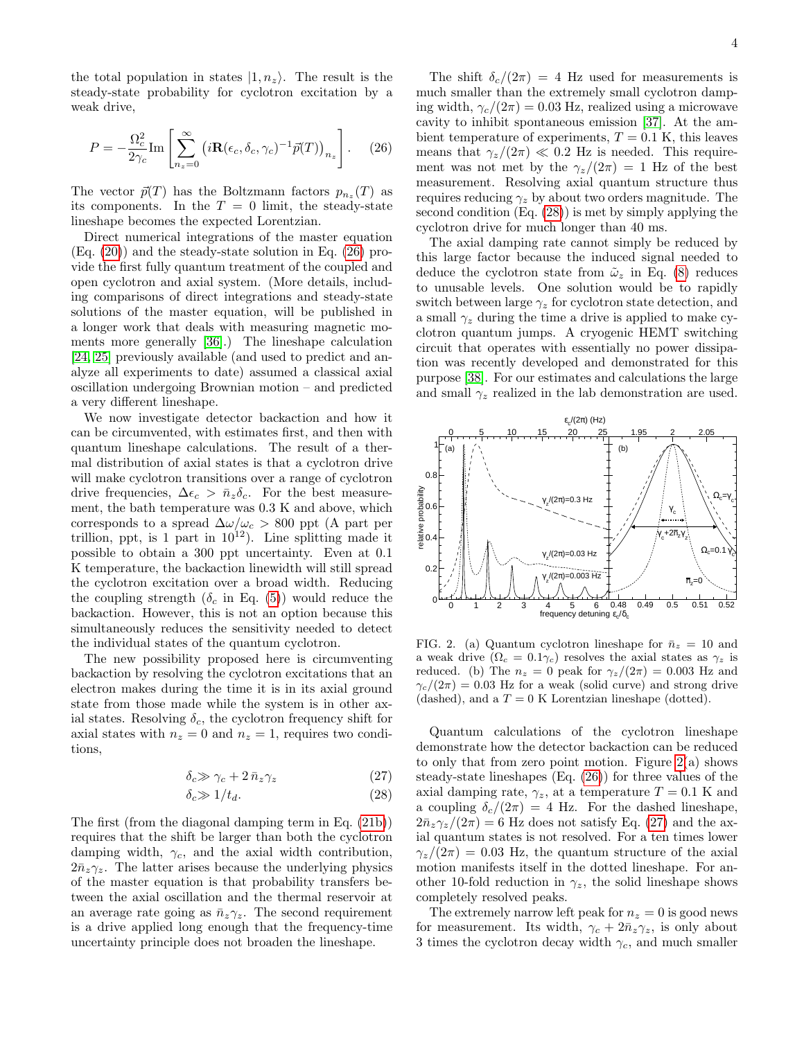the total population in states  $|1, n_z\rangle$ . The result is the steady-state probability for cyclotron excitation by a weak drive,

<span id="page-3-0"></span>
$$
P = -\frac{\Omega_c^2}{2\gamma_c} \text{Im} \left[ \sum_{n_z=0}^{\infty} \left( i \mathbf{R}(\epsilon_c, \delta_c, \gamma_c)^{-1} \vec{p}(T) \right)_{n_z} \right]. \tag{26}
$$

The vector  $\vec{p}(T)$  has the Boltzmann factors  $p_{n_z}(T)$  as its components. In the  $T = 0$  limit, the steady-state lineshape becomes the expected Lorentzian.

Direct numerical integrations of the master equation (Eq. [\(20\)](#page-2-2)) and the steady-state solution in Eq. [\(26\)](#page-3-0) provide the first fully quantum treatment of the coupled and open cyclotron and axial system. (More details, including comparisons of direct integrations and steady-state solutions of the master equation, will be published in a longer work that deals with measuring magnetic moments more generally [\[36\]](#page-4-26).) The lineshape calculation [\[24,](#page-4-16) [25\]](#page-4-17) previously available (and used to predict and analyze all experiments to date) assumed a classical axial oscillation undergoing Brownian motion – and predicted a very different lineshape.

We now investigate detector backaction and how it can be circumvented, with estimates first, and then with quantum lineshape calculations. The result of a thermal distribution of axial states is that a cyclotron drive will make cyclotron transitions over a range of cyclotron drive frequencies,  $\Delta \epsilon_c > \bar{n}_z \delta_c$ . For the best measurement, the bath temperature was 0.3 K and above, which corresponds to a spread  $\Delta\omega/\omega_c > 800$  ppt (A part per trillion, ppt, is 1 part in  $10^{12}$ ). Line splitting made it possible to obtain a 300 ppt uncertainty. Even at 0.1 K temperature, the backaction linewidth will still spread the cyclotron excitation over a broad width. Reducing the coupling strength  $(\delta_c \text{ in Eq. } (5))$  $(\delta_c \text{ in Eq. } (5))$  $(\delta_c \text{ in Eq. } (5))$  would reduce the backaction. However, this is not an option because this simultaneously reduces the sensitivity needed to detect the individual states of the quantum cyclotron.

The new possibility proposed here is circumventing backaction by resolving the cyclotron excitations that an electron makes during the time it is in its axial ground state from those made while the system is in other axial states. Resolving  $\delta_c$ , the cyclotron frequency shift for axial states with  $n_z = 0$  and  $n_z = 1$ , requires two conditions,

<span id="page-3-1"></span>
$$
\delta_c \gg \gamma_c + 2 \,\bar{n}_z \gamma_z \tag{27}
$$

$$
\delta_c \gg 1/t_d. \tag{28}
$$

The first (from the diagonal damping term in Eq. [\(21b\)](#page-2-3)) requires that the shift be larger than both the cyclotron damping width,  $\gamma_c$ , and the axial width contribution,  $2\bar{n}_z\gamma_z$ . The latter arises because the underlying physics of the master equation is that probability transfers between the axial oscillation and the thermal reservoir at an average rate going as  $\bar{n}_z \gamma_z$ . The second requirement is a drive applied long enough that the frequency-time uncertainty principle does not broaden the lineshape.

The shift  $\delta_c/(2\pi) = 4$  Hz used for measurements is much smaller than the extremely small cyclotron damping width,  $\gamma_c/(2\pi) = 0.03$  Hz, realized using a microwave cavity to inhibit spontaneous emission [\[37\]](#page-5-0). At the ambient temperature of experiments,  $T = 0.1$  K, this leaves means that  $\gamma_z/(2\pi) \ll 0.2$  Hz is needed. This requirement was not met by the  $\gamma_z/(2\pi) = 1$  Hz of the best measurement. Resolving axial quantum structure thus requires reducing  $\gamma_z$  by about two orders magnitude. The second condition (Eq. [\(28\)](#page-3-1)) is met by simply applying the cyclotron drive for much longer than 40 ms.

The axial damping rate cannot simply be reduced by this large factor because the induced signal needed to deduce the cyclotron state from  $\tilde{\omega}_z$  in Eq. [\(8\)](#page-1-3) reduces to unusable levels. One solution would be to rapidly switch between large  $\gamma_z$  for cyclotron state detection, and a small  $\gamma_z$  during the time a drive is applied to make cyclotron quantum jumps. A cryogenic HEMT switching circuit that operates with essentially no power dissipation was recently developed and demonstrated for this purpose [\[38\]](#page-5-1). For our estimates and calculations the large and small  $\gamma_z$  realized in the lab demonstration are used.



<span id="page-3-2"></span>FIG. 2. (a) Quantum cyclotron lineshape for  $\bar{n}_z = 10$  and a weak drive  $(\Omega_c = 0.1\gamma_c)$  resolves the axial states as  $\gamma_z$  is reduced. (b) The  $n_z = 0$  peak for  $\gamma_z/(2\pi) = 0.003$  Hz and  $\gamma_c/(2\pi) = 0.03$  Hz for a weak (solid curve) and strong drive (dashed), and a  $T = 0$  K Lorentzian lineshape (dotted).

Quantum calculations of the cyclotron lineshape demonstrate how the detector backaction can be reduced to only that from zero point motion. Figure  $2(a)$  shows steady-state lineshapes (Eq. [\(26\)](#page-3-0)) for three values of the axial damping rate,  $\gamma_z$ , at a temperature  $T = 0.1$  K and a coupling  $\delta_c/(2\pi) = 4$  Hz. For the dashed lineshape,  $2\bar{n}_z\gamma_z/(2\pi) = 6$  Hz does not satisfy Eq. [\(27\)](#page-3-1) and the axial quantum states is not resolved. For a ten times lower  $\gamma_z/(2\pi) = 0.03$  Hz, the quantum structure of the axial motion manifests itself in the dotted lineshape. For another 10-fold reduction in  $\gamma_z$ , the solid lineshape shows completely resolved peaks.

The extremely narrow left peak for  $n_z = 0$  is good news for measurement. Its width,  $\gamma_c + 2\bar{n}_z \gamma_z$ , is only about 3 times the cyclotron decay width  $\gamma_c$ , and much smaller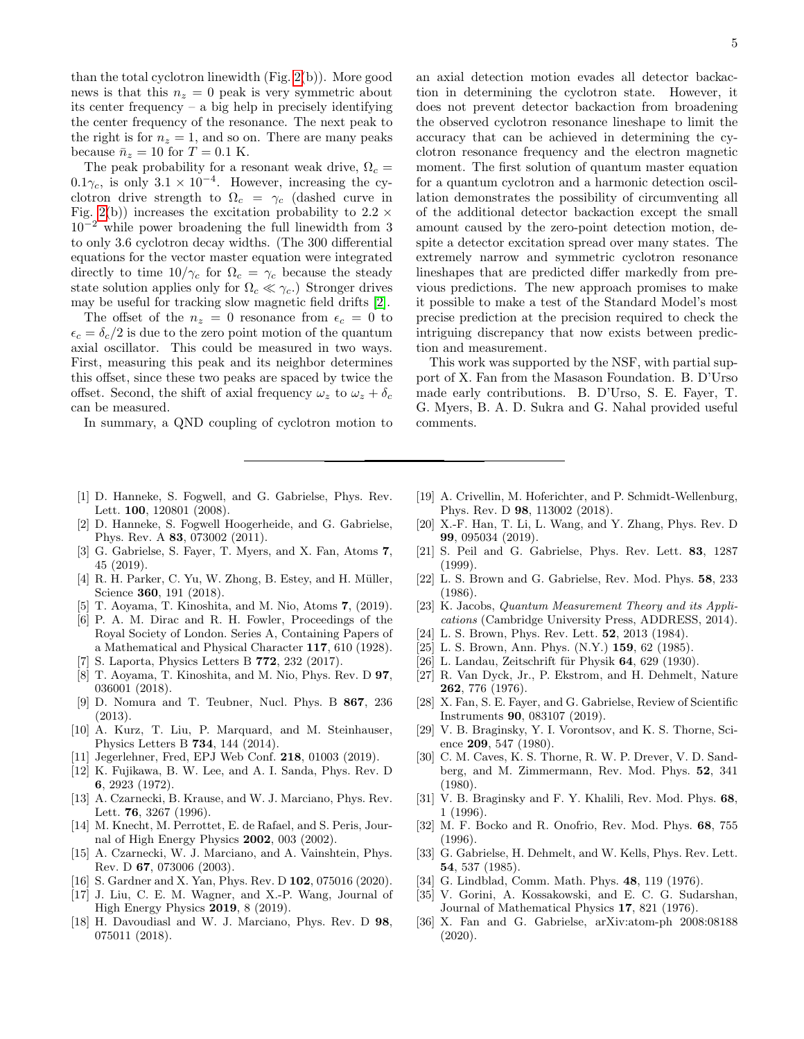than the total cyclotron linewidth (Fig. [2\(](#page-3-2)b)). More good news is that this  $n_z = 0$  peak is very symmetric about its center frequency – a big help in precisely identifying the center frequency of the resonance. The next peak to the right is for  $n_z = 1$ , and so on. There are many peaks because  $\bar{n}_z = 10$  for  $T = 0.1$  K.

The peak probability for a resonant weak drive,  $\Omega_c =$  $0.1\gamma_c$ , is only  $3.1 \times 10^{-4}$ . However, increasing the cyclotron drive strength to  $\Omega_c = \gamma_c$  (dashed curve in Fig. [2\(](#page-3-2)b)) increases the excitation probability to  $2.2 \times$  $10^{-2}$  while power broadening the full linewidth from 3 to only 3.6 cyclotron decay widths. (The 300 differential equations for the vector master equation were integrated directly to time  $10/\gamma_c$  for  $\Omega_c = \gamma_c$  because the steady state solution applies only for  $\Omega_c \ll \gamma_c$ .) Stronger drives may be useful for tracking slow magnetic field drifts [\[2\]](#page-4-1).

The offset of the  $n_z = 0$  resonance from  $\epsilon_c = 0$  to  $\epsilon_c = \delta_c/2$  is due to the zero point motion of the quantum axial oscillator. This could be measured in two ways. First, measuring this peak and its neighbor determines this offset, since these two peaks are spaced by twice the offset. Second, the shift of axial frequency  $\omega_z$  to  $\omega_z + \delta_c$ can be measured.

In summary, a QND coupling of cyclotron motion to

an axial detection motion evades all detector backaction in determining the cyclotron state. However, it does not prevent detector backaction from broadening the observed cyclotron resonance lineshape to limit the accuracy that can be achieved in determining the cyclotron resonance frequency and the electron magnetic moment. The first solution of quantum master equation for a quantum cyclotron and a harmonic detection oscillation demonstrates the possibility of circumventing all of the additional detector backaction except the small amount caused by the zero-point detection motion, despite a detector excitation spread over many states. The extremely narrow and symmetric cyclotron resonance lineshapes that are predicted differ markedly from previous predictions. The new approach promises to make it possible to make a test of the Standard Model's most precise prediction at the precision required to check the intriguing discrepancy that now exists between prediction and measurement.

This work was supported by the NSF, with partial support of X. Fan from the Masason Foundation. B. D'Urso made early contributions. B. D'Urso, S. E. Fayer, T. G. Myers, B. A. D. Sukra and G. Nahal provided useful comments.

- <span id="page-4-0"></span>[1] D. Hanneke, S. Fogwell, and G. Gabrielse, Phys. Rev. Lett. 100, 120801 (2008).
- <span id="page-4-1"></span>[2] D. Hanneke, S. Fogwell Hoogerheide, and G. Gabrielse, Phys. Rev. A 83, 073002 (2011).
- <span id="page-4-2"></span>[3] G. Gabrielse, S. Fayer, T. Myers, and X. Fan, Atoms 7, 45 (2019).
- <span id="page-4-3"></span>[4] R. H. Parker, C. Yu, W. Zhong, B. Estey, and H. Müller, Science 360, 191 (2018).
- <span id="page-4-4"></span>[5] T. Aoyama, T. Kinoshita, and M. Nio, Atoms 7, (2019).
- <span id="page-4-5"></span>[6] P. A. M. Dirac and R. H. Fowler, Proceedings of the Royal Society of London. Series A, Containing Papers of a Mathematical and Physical Character 117, 610 (1928).
- <span id="page-4-6"></span>[7] S. Laporta, Physics Letters B 772, 232 (2017).
- <span id="page-4-7"></span>[8] T. Aoyama, T. Kinoshita, and M. Nio, Phys. Rev. D 97, 036001 (2018).
- <span id="page-4-8"></span>[9] D. Nomura and T. Teubner, Nucl. Phys. B 867, 236 (2013).
- [10] A. Kurz, T. Liu, P. Marquard, and M. Steinhauser, Physics Letters B 734, 144 (2014).
- <span id="page-4-9"></span>[11] Jegerlehner, Fred, EPJ Web Conf. 218, 01003 (2019).
- [12] K. Fujikawa, B. W. Lee, and A. I. Sanda, Phys. Rev. D 6, 2923 (1972).
- [13] A. Czarnecki, B. Krause, and W. J. Marciano, Phys. Rev. Lett. 76, 3267 (1996).
- [14] M. Knecht, M. Perrottet, E. de Rafael, and S. Peris, Journal of High Energy Physics 2002, 003 (2002).
- <span id="page-4-10"></span>[15] A. Czarnecki, W. J. Marciano, and A. Vainshtein, Phys. Rev. D 67, 073006 (2003).
- <span id="page-4-11"></span>[16] S. Gardner and X. Yan, Phys. Rev. D **102**, 075016 (2020).
- [17] J. Liu, C. E. M. Wagner, and X.-P. Wang, Journal of High Energy Physics 2019, 8 (2019).
- [18] H. Davoudiasl and W. J. Marciano, Phys. Rev. D 98, 075011 (2018).
- [19] A. Crivellin, M. Hoferichter, and P. Schmidt-Wellenburg, Phys. Rev. D 98, 113002 (2018).
- <span id="page-4-12"></span>[20] X.-F. Han, T. Li, L. Wang, and Y. Zhang, Phys. Rev. D 99, 095034 (2019).
- <span id="page-4-13"></span>[21] S. Peil and G. Gabrielse, Phys. Rev. Lett. 83, 1287 (1999).
- <span id="page-4-14"></span>[22] L. S. Brown and G. Gabrielse, Rev. Mod. Phys. 58, 233 (1986).
- <span id="page-4-15"></span>[23] K. Jacobs, Quantum Measurement Theory and its Applications (Cambridge University Press, ADDRESS, 2014).
- <span id="page-4-16"></span>[24] L. S. Brown, Phys. Rev. Lett. 52, 2013 (1984).
- <span id="page-4-17"></span>[25] L. S. Brown, Ann. Phys. (N.Y.) **159**, 62 (1985).
- <span id="page-4-18"></span> $[26]$  L. Landau, Zeitschrift für Physik 64, 629 (1930).
- <span id="page-4-19"></span>[27] R. Van Dyck, Jr., P. Ekstrom, and H. Dehmelt, Nature 262, 776 (1976).
- <span id="page-4-20"></span>[28] X. Fan, S. E. Fayer, and G. Gabrielse, Review of Scientific Instruments 90, 083107 (2019).
- <span id="page-4-21"></span>[29] V. B. Braginsky, Y. I. Vorontsov, and K. S. Thorne, Science 209, 547 (1980).
- [30] C. M. Caves, K. S. Thorne, R. W. P. Drever, V. D. Sandberg, and M. Zimmermann, Rev. Mod. Phys. 52, 341 (1980).
- [31] V. B. Braginsky and F. Y. Khalili, Rev. Mod. Phys. 68, 1 (1996).
- <span id="page-4-22"></span>[32] M. F. Bocko and R. Onofrio, Rev. Mod. Phys. 68, 755 (1996).
- <span id="page-4-23"></span>[33] G. Gabrielse, H. Dehmelt, and W. Kells, Phys. Rev. Lett. 54, 537 (1985).
- <span id="page-4-24"></span>[34] G. Lindblad, Comm. Math. Phys. **48**, 119 (1976).
- <span id="page-4-25"></span>[35] V. Gorini, A. Kossakowski, and E. C. G. Sudarshan, Journal of Mathematical Physics 17, 821 (1976).
- <span id="page-4-26"></span>[36] X. Fan and G. Gabrielse, arXiv:atom-ph 2008:08188 (2020).